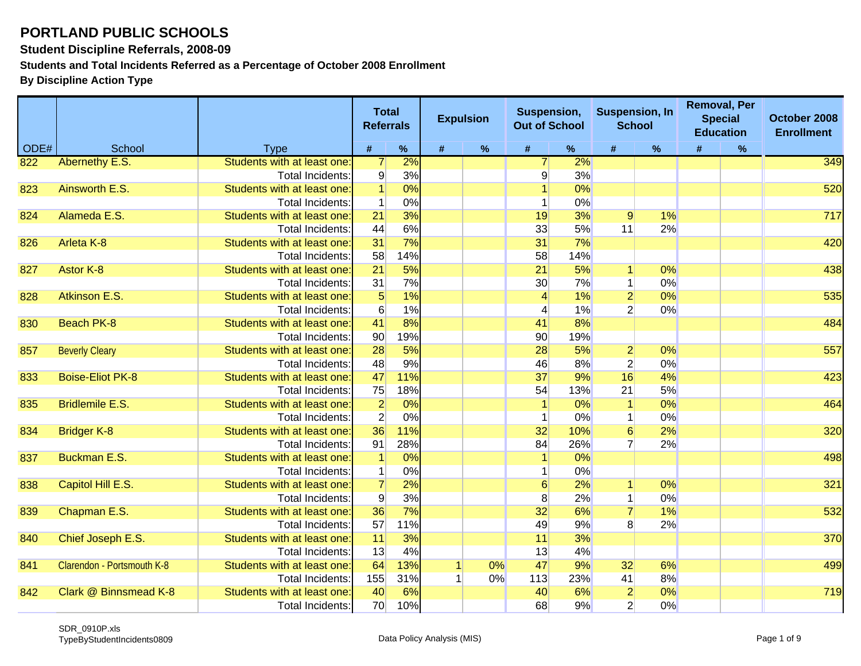**Student Discipline Referrals, 2008-09**

**Students and Total Incidents Referred as a Percentage of October 2008 Enrollment**

|      |                            |                            |                 | <b>Total</b><br><b>Referrals</b> |   | <b>Expulsion</b> | Suspension,<br><b>Out of School</b> |     | <b>Suspension, In</b> | <b>School</b> | <b>Removal, Per</b><br><b>Special</b><br><b>Education</b> |      | October 2008<br><b>Enrollment</b> |
|------|----------------------------|----------------------------|-----------------|----------------------------------|---|------------------|-------------------------------------|-----|-----------------------|---------------|-----------------------------------------------------------|------|-----------------------------------|
| ODE# | School                     | <b>Type</b>                | $\#$            | $\%$                             | # | $\%$             | $\pmb{\#}$                          | %   | #                     | $\%$          | #                                                         | $\%$ |                                   |
| 822  | Abernethy E.S.             | Students with at least one | $\overline{7}$  | 2%                               |   |                  |                                     | 2%  |                       |               |                                                           |      | 349                               |
|      |                            | Total Incidents:           | $\overline{9}$  | 3%                               |   |                  | 9                                   | 3%  |                       |               |                                                           |      |                                   |
| 823  | Ainsworth E.S.             | Students with at least one | $\overline{1}$  | 0%                               |   |                  |                                     | 0%  |                       |               |                                                           |      | 520                               |
|      |                            | <b>Total Incidents:</b>    | $\mathbf{1}$    | 0%                               |   |                  |                                     | 0%  |                       |               |                                                           |      |                                   |
| 824  | Alameda E.S.               | Students with at least one | 21              | 3%                               |   |                  | 19                                  | 3%  | 9                     | 1%            |                                                           |      | 717                               |
|      |                            | Total Incidents:           | 44              | 6%                               |   |                  | 33                                  | 5%  | 11                    | 2%            |                                                           |      |                                   |
| 826  | <b>Arleta K-8</b>          | Students with at least one | 31              | 7%                               |   |                  | 31                                  | 7%  |                       |               |                                                           |      | 420                               |
|      |                            | Total Incidents:           | 58              | 14%                              |   |                  | 58                                  | 14% |                       |               |                                                           |      |                                   |
| 827  | Astor K-8                  | Students with at least one | $\overline{21}$ | 5%                               |   |                  | 21                                  | 5%  | $\vert$               | 0%            |                                                           |      | 438                               |
|      |                            | Total Incidents:           | 31              | 7%                               |   |                  | 30 <sup>°</sup>                     | 7%  | $\mathbf{1}$          | 0%            |                                                           |      |                                   |
| 828  | Atkinson E.S.              | Students with at least one | $5\overline{)}$ | 1%                               |   |                  | $\overline{4}$                      | 1%  | $\overline{2}$        | 0%            |                                                           |      | 535                               |
|      |                            | Total Incidents:           | 6               | 1%                               |   |                  | 4                                   | 1%  | $\overline{2}$        | 0%            |                                                           |      |                                   |
| 830  | <b>Beach PK-8</b>          | Students with at least one | 41              | 8%                               |   |                  | 41                                  | 8%  |                       |               |                                                           |      | 484                               |
|      |                            | Total Incidents:           | 90              | 19%                              |   |                  | 90                                  | 19% |                       |               |                                                           |      |                                   |
| 857  | <b>Beverly Cleary</b>      | Students with at least one | 28              | 5%                               |   |                  | 28                                  | 5%  | $\overline{2}$        | 0%            |                                                           |      | 557                               |
|      |                            | Total Incidents:           | 48              | 9%                               |   |                  | 46                                  | 8%  | $\overline{2}$        | 0%            |                                                           |      |                                   |
| 833  | <b>Boise-Eliot PK-8</b>    | Students with at least one | 47              | 11%                              |   |                  | 37                                  | 9%  | 16                    | 4%            |                                                           |      | 423                               |
|      |                            | Total Incidents:           | 75              | 18%                              |   |                  | 54                                  | 13% | 21                    | 5%            |                                                           |      |                                   |
| 835  | <b>Bridlemile E.S.</b>     | Students with at least one | $\overline{2}$  | 0%                               |   |                  | $\mathbf{1}$                        | 0%  | $\overline{1}$        | 0%            |                                                           |      | 464                               |
|      |                            | Total Incidents:           | $\overline{2}$  | 0%                               |   |                  |                                     | 0%  | 1                     | 0%            |                                                           |      |                                   |
| 834  | <b>Bridger K-8</b>         | Students with at least one | 36              | 11%                              |   |                  | 32                                  | 10% | 6                     | 2%            |                                                           |      | 320                               |
|      |                            | Total Incidents:           | 91              | 28%                              |   |                  | 84                                  | 26% | $\overline{7}$        | 2%            |                                                           |      |                                   |
| 837  | <b>Buckman E.S.</b>        | Students with at least one | $\vert$ 1       | 0%                               |   |                  |                                     | 0%  |                       |               |                                                           |      | 498                               |
|      |                            | Total Incidents:           | $\mathbf{1}$    | 0%                               |   |                  |                                     | 0%  |                       |               |                                                           |      |                                   |
| 838  | Capitol Hill E.S.          | Students with at least one | $\overline{7}$  | 2%                               |   |                  | 6                                   | 2%  |                       | 0%            |                                                           |      | 321                               |
|      |                            | Total Incidents:           | $\overline{9}$  | 3%                               |   |                  | 8                                   | 2%  | $\mathbf{1}$          | 0%            |                                                           |      |                                   |
| 839  | Chapman E.S.               | Students with at least one | 36              | 7%                               |   |                  | 32                                  | 6%  | $\overline{7}$        | 1%            |                                                           |      | 532                               |
|      |                            | Total Incidents:           | 57              | 11%                              |   |                  | 49                                  | 9%  | 8 <sup>°</sup>        | 2%            |                                                           |      |                                   |
| 840  | Chief Joseph E.S.          | Students with at least one | 11              | 3%                               |   |                  | 11                                  | 3%  |                       |               |                                                           |      | 370                               |
|      |                            | Total Incidents:           | 13              | 4%                               |   |                  | 13                                  | 4%  |                       |               |                                                           |      |                                   |
| 841  | Clarendon - Portsmouth K-8 | Students with at least one | 64              | 13%                              |   | 0%               | 47                                  | 9%  | 32                    | 6%            |                                                           |      | 499                               |
|      |                            | Total Incidents:           | 155             | 31%                              |   | 0%               | 113                                 | 23% | 41                    | 8%            |                                                           |      |                                   |
| 842  | Clark @ Binnsmead K-8      | Students with at least one | 40              | 6%                               |   |                  | 40                                  | 6%  | $\overline{2}$        | 0%            |                                                           |      | 719                               |
|      |                            | <b>Total Incidents:</b>    | 70              | 10%                              |   |                  | 68                                  | 9%  | $\overline{2}$        | 0%            |                                                           |      |                                   |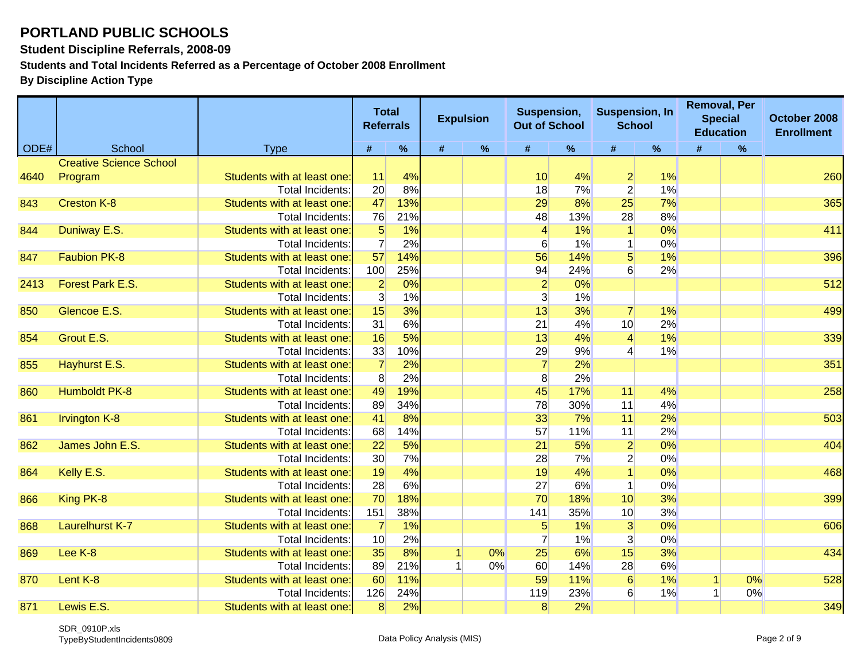**Student Discipline Referrals, 2008-09**

**Students and Total Incidents Referred as a Percentage of October 2008 Enrollment**

|      |                                |                             | <b>Total</b><br><b>Referrals</b> |     |   | <b>Expulsion</b> | Suspension,<br><b>Out of School</b> |     | <b>Suspension, In</b><br><b>School</b> |      | <b>Removal, Per</b><br><b>Special</b><br><b>Education</b> |      | October 2008<br><b>Enrollment</b> |
|------|--------------------------------|-----------------------------|----------------------------------|-----|---|------------------|-------------------------------------|-----|----------------------------------------|------|-----------------------------------------------------------|------|-----------------------------------|
| ODE# | School                         | <b>Type</b>                 | #                                | %   | # | $\%$             | $\#$                                | %   | #                                      | $\%$ | #                                                         | $\%$ |                                   |
|      | <b>Creative Science School</b> |                             |                                  |     |   |                  |                                     |     |                                        |      |                                                           |      |                                   |
| 4640 | Program                        | Students with at least one: | 11                               | 4%  |   |                  | 10                                  | 4%  | $\overline{2}$                         | 1%   |                                                           |      | 260                               |
|      |                                | <b>Total Incidents:</b>     | 20                               | 8%  |   |                  | 18                                  | 7%  | $\overline{2}$                         | 1%   |                                                           |      |                                   |
| 843  | <b>Creston K-8</b>             | Students with at least one: | 47                               | 13% |   |                  | 29                                  | 8%  | 25                                     | 7%   |                                                           |      | 365                               |
|      |                                | Total Incidents:            | 76                               | 21% |   |                  | 48                                  | 13% | 28                                     | 8%   |                                                           |      |                                   |
| 844  | Duniway E.S.                   | Students with at least one: | $\overline{5}$                   | 1%  |   |                  | $\vert$                             | 1%  | $\vert$                                | 0%   |                                                           |      | 411                               |
|      |                                | Total Incidents:            | $\overline{7}$                   | 2%  |   |                  | $6 \overline{6}$                    | 1%  | $\mathbf{1}$                           | 0%   |                                                           |      |                                   |
| 847  | <b>Faubion PK-8</b>            | Students with at least one  | 57                               | 14% |   |                  | 56                                  | 14% | $5\overline{)}$                        | 1%   |                                                           |      | 396                               |
|      |                                | <b>Total Incidents:</b>     | 100                              | 25% |   |                  | 94                                  | 24% | 6                                      | 2%   |                                                           |      |                                   |
| 2413 | Forest Park E.S.               | Students with at least one  | $\overline{2}$                   | 0%  |   |                  | $\overline{2}$                      | 0%  |                                        |      |                                                           |      | 512                               |
|      |                                | Total Incidents:            | 3                                | 1%  |   |                  | 3                                   | 1%  |                                        |      |                                                           |      |                                   |
| 850  | Glencoe E.S.                   | Students with at least one: | 15                               | 3%  |   |                  | 13                                  | 3%  | $\overline{7}$                         | 1%   |                                                           |      | 499                               |
|      |                                | Total Incidents:            | 31                               | 6%  |   |                  | 21                                  | 4%  | 10                                     | 2%   |                                                           |      |                                   |
| 854  | Grout E.S.                     | Students with at least one: | 16                               | 5%  |   |                  | 13                                  | 4%  | $\vert 4 \vert$                        | 1%   |                                                           |      | 339                               |
|      |                                | Total Incidents:            | 33                               | 10% |   |                  | 29                                  | 9%  | $\overline{4}$                         | 1%   |                                                           |      |                                   |
| 855  | Hayhurst E.S.                  | Students with at least one: | $\overline{7}$                   | 2%  |   |                  | $\overline{7}$                      | 2%  |                                        |      |                                                           |      | 351                               |
|      |                                | Total Incidents:            | 8                                | 2%  |   |                  | 8 <sup>°</sup>                      | 2%  |                                        |      |                                                           |      |                                   |
| 860  | <b>Humboldt PK-8</b>           | Students with at least one: | 49                               | 19% |   |                  | 45                                  | 17% | 11                                     | 4%   |                                                           |      | 258                               |
|      |                                | Total Incidents:            | 89                               | 34% |   |                  | 78                                  | 30% | 11                                     | 4%   |                                                           |      |                                   |
| 861  | <b>Irvington K-8</b>           | Students with at least one: | 41                               | 8%  |   |                  | 33                                  | 7%  | 11                                     | 2%   |                                                           |      | 503                               |
|      |                                | <b>Total Incidents:</b>     | 68                               | 14% |   |                  | 57                                  | 11% | 11                                     | 2%   |                                                           |      |                                   |
| 862  | James John E.S.                | Students with at least one: | 22                               | 5%  |   |                  | 21                                  | 5%  | $\overline{2}$                         | 0%   |                                                           |      | 404                               |
|      |                                | <b>Total Incidents:</b>     | 30                               | 7%  |   |                  | 28                                  | 7%  | $\overline{2}$                         | 0%   |                                                           |      |                                   |
| 864  | Kelly E.S.                     | Students with at least one: | 19                               | 4%  |   |                  | 19                                  | 4%  |                                        | 0%   |                                                           |      | 468                               |
|      |                                | Total Incidents:            | 28                               | 6%  |   |                  | 27                                  | 6%  | $\mathbf{1}$                           | 0%   |                                                           |      |                                   |
| 866  | King PK-8                      | Students with at least one: | 70                               | 18% |   |                  | 70                                  | 18% | 10                                     | 3%   |                                                           |      | 399                               |
|      |                                | Total Incidents:            | 151                              | 38% |   |                  | 141                                 | 35% | 10                                     | 3%   |                                                           |      |                                   |
| 868  | <b>Laurelhurst K-7</b>         | Students with at least one: | $\overline{7}$                   | 1%  |   |                  | $\overline{5}$                      | 1%  | 3                                      | 0%   |                                                           |      | 606                               |
|      |                                | Total Incidents:            | 10 <sup>1</sup>                  | 2%  |   |                  | $\overline{7}$                      | 1%  | $\overline{3}$                         | 0%   |                                                           |      |                                   |
| 869  | Lee K-8                        | Students with at least one  | 35                               | 8%  |   | 0%               | 25                                  | 6%  | 15                                     | 3%   |                                                           |      | 434                               |
|      |                                | Total Incidents:            | 89                               | 21% |   | 0%               | 60                                  | 14% | 28                                     | 6%   |                                                           |      |                                   |
| 870  | Lent K-8                       | Students with at least one: | 60                               | 11% |   |                  | 59                                  | 11% | $6 \overline{}$                        | 1%   |                                                           | 0%   | 528                               |
|      |                                | Total Incidents:            | 126                              | 24% |   |                  | 119                                 | 23% | 6                                      | 1%   |                                                           | 0%   |                                   |
| 871  | Lewis E.S.                     | Students with at least one: | 8 <sup>°</sup>                   | 2%  |   |                  | 8                                   | 2%  |                                        |      |                                                           |      | 349                               |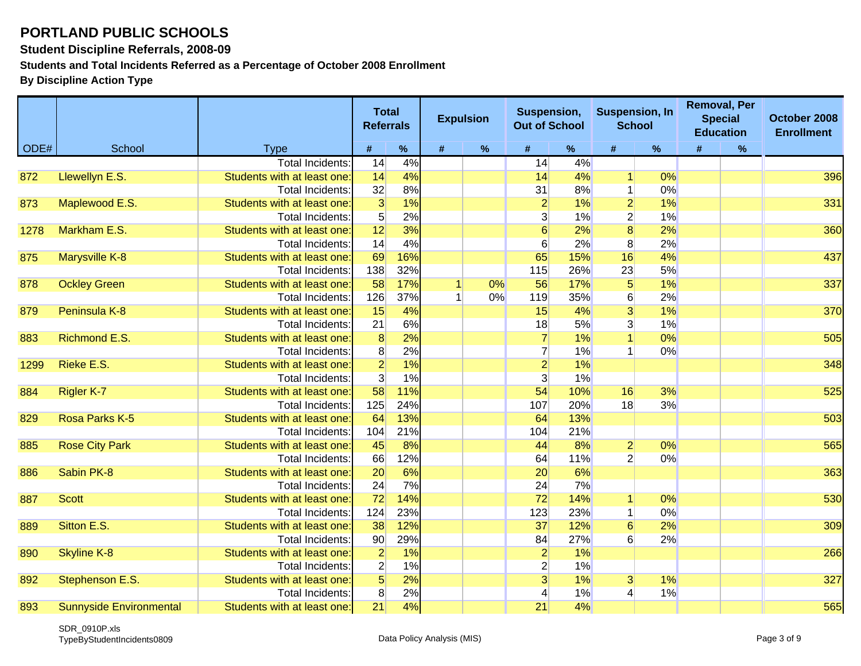**Student Discipline Referrals, 2008-09**

**Students and Total Incidents Referred as a Percentage of October 2008 Enrollment**

|      |                                |                             | <b>Total</b><br><b>Referrals</b> |      |                | <b>Expulsion</b> | Suspension,<br><b>Out of School</b> |     | <b>Suspension, In</b> | <b>School</b> | <b>Removal, Per</b><br><b>Special</b><br><b>Education</b> |      | October 2008<br><b>Enrollment</b> |
|------|--------------------------------|-----------------------------|----------------------------------|------|----------------|------------------|-------------------------------------|-----|-----------------------|---------------|-----------------------------------------------------------|------|-----------------------------------|
| ODE# | School                         | <b>Type</b>                 | #                                | $\%$ | #              | $\%$             | #                                   | %   | #                     | $\%$          | #                                                         | $\%$ |                                   |
|      |                                | <b>Total Incidents</b>      | 14                               | 4%   |                |                  | 14                                  | 4%  |                       |               |                                                           |      |                                   |
| 872  | Llewellyn E.S.                 | Students with at least one: | 14                               | 4%   |                |                  | 14                                  | 4%  |                       | 0%            |                                                           |      | 396                               |
|      |                                | <b>Total Incidents:</b>     | 32                               | 8%   |                |                  | 31                                  | 8%  | $\mathbf{1}$          | 0%            |                                                           |      |                                   |
| 873  | Maplewood E.S.                 | Students with at least one: | 3                                | 1%   |                |                  | $\overline{2}$                      | 1%  | $\overline{2}$        | 1%            |                                                           |      | 331                               |
|      |                                | Total Incidents:            | 5 <sup>5</sup>                   | 2%   |                |                  | $\overline{3}$                      | 1%  | $\overline{2}$        | 1%            |                                                           |      |                                   |
| 1278 | Markham E.S.                   | Students with at least one: | 12                               | 3%   |                |                  | 6                                   | 2%  | $\overline{8}$        | 2%            |                                                           |      | 360                               |
|      |                                | <b>Total Incidents</b>      | 14                               | 4%   |                |                  | 6                                   | 2%  | 8                     | 2%            |                                                           |      |                                   |
| 875  | Marysville K-8                 | Students with at least one: | 69                               | 16%  |                |                  | 65                                  | 15% | 16                    | 4%            |                                                           |      | 437                               |
|      |                                | <b>Total Incidents</b>      | 138                              | 32%  |                |                  | 115                                 | 26% | 23                    | 5%            |                                                           |      |                                   |
| 878  | <b>Ockley Green</b>            | Students with at least one: | 58                               | 17%  | $\overline{1}$ | 0%               | 56                                  | 17% | $\overline{5}$        | 1%            |                                                           |      | 337                               |
|      |                                | <b>Total Incidents:</b>     | 126                              | 37%  |                | 0%               | 119                                 | 35% | $6 \overline{6}$      | 2%            |                                                           |      |                                   |
| 879  | Peninsula K-8                  | Students with at least one: | 15                               | 4%   |                |                  | 15                                  | 4%  | 3                     | 1%            |                                                           |      | 370                               |
|      |                                | Total Incidents:            | 21                               | 6%   |                |                  | 18                                  | 5%  | 3 <sup>2</sup>        | 1%            |                                                           |      |                                   |
| 883  | Richmond E.S.                  | Students with at least one: | $\overline{8}$                   | 2%   |                |                  | $\overline{7}$                      | 1%  |                       | 0%            |                                                           |      | 505                               |
|      |                                | Total Incidents:            | 8 <sup>°</sup>                   | 2%   |                |                  | $\overline{7}$                      | 1%  |                       | 0%            |                                                           |      |                                   |
| 1299 | Rieke E.S.                     | Students with at least one: | $\overline{2}$                   | 1%   |                |                  | $\overline{2}$                      | 1%  |                       |               |                                                           |      | 348                               |
|      |                                | Total Incidents:            | 3                                | 1%   |                |                  | $\mathbf{3}$                        | 1%  |                       |               |                                                           |      |                                   |
| 884  | <b>Rigler K-7</b>              | Students with at least one: | 58                               | 11%  |                |                  | 54                                  | 10% | 16                    | 3%            |                                                           |      | 525                               |
|      |                                | Total Incidents:            | 125                              | 24%  |                |                  | 107                                 | 20% | 18                    | 3%            |                                                           |      |                                   |
| 829  | Rosa Parks K-5                 | Students with at least one: | 64                               | 13%  |                |                  | 64                                  | 13% |                       |               |                                                           |      | 503                               |
|      |                                | Total Incidents:            | 104                              | 21%  |                |                  | 104                                 | 21% |                       |               |                                                           |      |                                   |
| 885  | <b>Rose City Park</b>          | Students with at least one: | 45                               | 8%   |                |                  | 44                                  | 8%  | $\overline{2}$        | 0%            |                                                           |      | 565                               |
|      |                                | Total Incidents:            | 66                               | 12%  |                |                  | 64                                  | 11% | $\overline{2}$        | 0%            |                                                           |      |                                   |
| 886  | Sabin PK-8                     | Students with at least one: | 20                               | 6%   |                |                  | 20                                  | 6%  |                       |               |                                                           |      | 363                               |
|      |                                | Total Incidents:            | 24                               | 7%   |                |                  | 24                                  | 7%  |                       |               |                                                           |      |                                   |
| 887  | <b>Scott</b>                   | Students with at least one: | 72                               | 14%  |                |                  | 72                                  | 14% | $\mathbf{1}$          | 0%            |                                                           |      | 530                               |
|      |                                | Total Incidents:            | 124                              | 23%  |                |                  | 123                                 | 23% | $\mathbf{1}$          | 0%            |                                                           |      |                                   |
| 889  | Sitton E.S.                    | Students with at least one: | 38                               | 12%  |                |                  | 37                                  | 12% | 6                     | 2%            |                                                           |      | 309                               |
|      |                                | <b>Total Incidents:</b>     | 90                               | 29%  |                |                  | 84                                  | 27% | $6 \overline{6}$      | 2%            |                                                           |      |                                   |
| 890  | <b>Skyline K-8</b>             | Students with at least one: | $\overline{2}$                   | 1%   |                |                  | $\overline{2}$                      | 1%  |                       |               |                                                           |      | 266                               |
|      |                                | <b>Total Incidents:</b>     | $\overline{2}$                   | 1%   |                |                  | $\overline{2}$                      | 1%  |                       |               |                                                           |      |                                   |
| 892  | Stephenson E.S.                | Students with at least one  | $5\overline{)}$                  | 2%   |                |                  | 3 <sup>1</sup>                      | 1%  | 3 <sup>2</sup>        | 1%            |                                                           |      | 327                               |
|      |                                | Total Incidents:            | 8                                | 2%   |                |                  |                                     | 1%  | 4                     | 1%            |                                                           |      |                                   |
| 893  | <b>Sunnyside Environmental</b> | Students with at least one: | $\overline{21}$                  | 4%   |                |                  | 21                                  | 4%  |                       |               |                                                           |      | 565                               |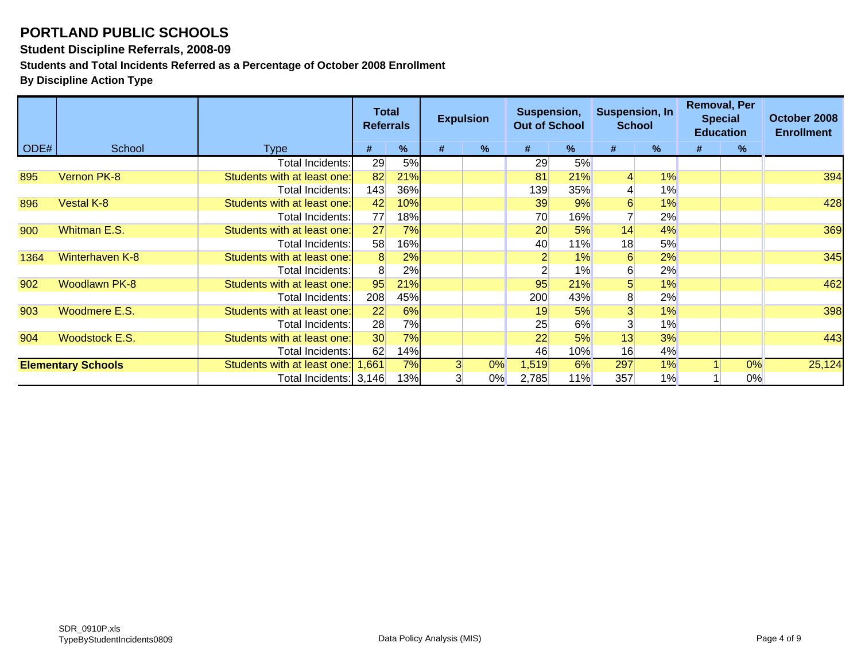#### **Student Discipline Referrals, 2008-09**

**Students and Total Incidents Referred as a Percentage of October 2008 Enrollment**

|      |                           |                             | <b>Total</b><br><b>Referrals</b> |     |                | <b>Expulsion</b> | Suspension,<br><b>Out of School</b> |     | <b>Suspension, In</b><br><b>School</b> |       | <b>Removal, Per</b><br><b>Special</b><br><b>Education</b> |    | October 2008<br><b>Enrollment</b> |
|------|---------------------------|-----------------------------|----------------------------------|-----|----------------|------------------|-------------------------------------|-----|----------------------------------------|-------|-----------------------------------------------------------|----|-----------------------------------|
| ODE# | School                    | <b>Type</b>                 | #                                | %   | #              | $\%$             | #                                   | %   | #                                      | %     | #                                                         | %  |                                   |
|      |                           | Total Incidents:            | 29                               | 5%  |                |                  | 29                                  | 5%  |                                        |       |                                                           |    |                                   |
| 895  | Vernon PK-8               | Students with at least one: | 82                               | 21% |                |                  | 81                                  | 21% |                                        | 1%    |                                                           |    | 394                               |
|      |                           | Total Incidents:            | 143                              | 36% |                |                  | 139                                 | 35% |                                        | $1\%$ |                                                           |    |                                   |
| 896  | <b>Vestal K-8</b>         | Students with at least one: | 42                               | 10% |                |                  | 39                                  | 9%  | 6                                      | 1%    |                                                           |    | 428                               |
|      |                           | <b>Total Incidents:</b>     | 77                               | 18% |                |                  | 70                                  | 16% |                                        | 2%    |                                                           |    |                                   |
| 900  | Whitman E.S.              | Students with at least one: | 27                               | 7%  |                |                  | 20                                  | 5%  | 14                                     | 4%    |                                                           |    | 369                               |
|      |                           | Total Incidents:            | 58                               | 16% |                |                  | 40                                  | 11% | 18                                     | 5%    |                                                           |    |                                   |
| 1364 | Winterhaven K-8           | Students with at least one: | 8                                | 2%  |                |                  |                                     | 1%  | 6                                      | 2%    |                                                           |    | 345                               |
|      |                           | Total Incidents:            | 8 <sup>°</sup>                   | 2%  |                |                  |                                     | 1%  | 6                                      | 2%    |                                                           |    |                                   |
| 902  | <b>Woodlawn PK-8</b>      | Students with at least one: | 95                               | 21% |                |                  | 95                                  | 21% | 5                                      | 1%    |                                                           |    | 462                               |
|      |                           | Total Incidents:            | 208                              | 45% |                |                  | 200                                 | 43% | 8                                      | 2%    |                                                           |    |                                   |
| 903  | Woodmere E.S.             | Students with at least one: | 22                               | 6%  |                |                  | 19                                  | 5%  | 3                                      | 1%    |                                                           |    | 398                               |
|      |                           | Total Incidents:            | 28                               | 7%  |                |                  | 25                                  | 6%  |                                        | 1%    |                                                           |    |                                   |
| 904  | <b>Woodstock E.S.</b>     | Students with at least one: | 30                               | 7%  |                |                  | 22                                  | 5%  | 13                                     | 3%    |                                                           |    | 443                               |
|      |                           | Total Incidents:            | 62                               | 14% |                |                  | 46                                  | 10% | 16                                     | 4%    |                                                           |    |                                   |
|      | <b>Elementary Schools</b> | Students with at least one: | 1,661                            | 7%  | 3 <sup>1</sup> | 0%               | 1,519                               | 6%  | 297                                    | 1%    |                                                           | 0% | 25,124                            |
|      |                           | Total Incidents: 3,146      |                                  | 13% | 3              | $0\%$            | 2,785                               | 11% | 357                                    | 1%    |                                                           | 0% |                                   |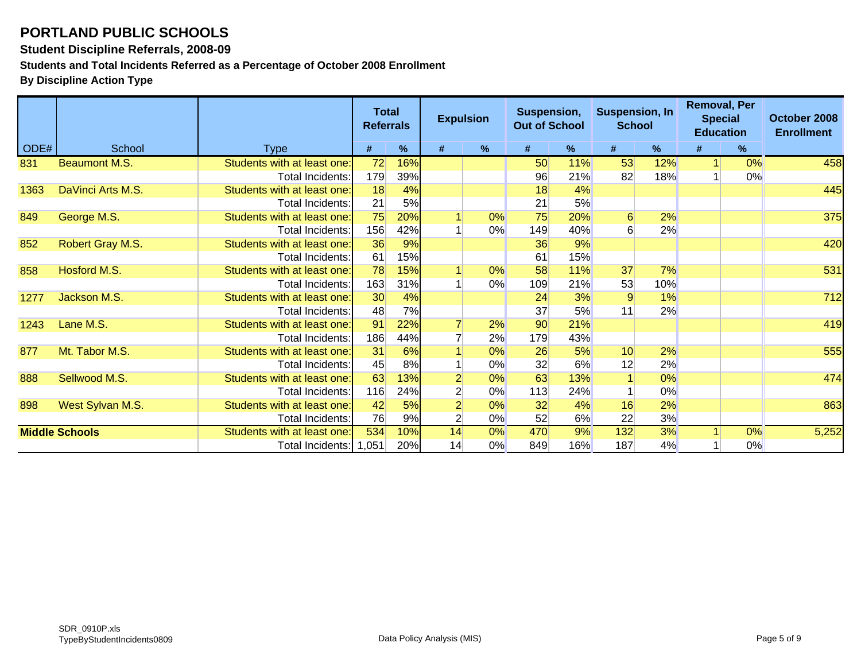#### **Student Discipline Referrals, 2008-09**

**Students and Total Incidents Referred as a Percentage of October 2008 Enrollment**

|      |                       |                             |     | <b>Total</b><br><b>Expulsion</b><br><b>Referrals</b> |                | Suspension,<br><b>Out of School</b> |     | <b>Suspension, In</b><br><b>School</b> |                  | <b>Removal, Per</b><br><b>Special</b><br><b>Education</b> |  | October 2008<br><b>Enrollment</b> |       |
|------|-----------------------|-----------------------------|-----|------------------------------------------------------|----------------|-------------------------------------|-----|----------------------------------------|------------------|-----------------------------------------------------------|--|-----------------------------------|-------|
| ODE# | School                | Type                        | #   | $\%$                                                 | #              | %                                   | #   | %                                      | #                | %                                                         |  | %                                 |       |
| 831  | <b>Beaumont M.S.</b>  | Students with at least one: | 72  | 16%                                                  |                |                                     | 50  | 11%                                    | 53               | 12%                                                       |  | 0%                                | 458   |
|      |                       | Total Incidents:            | 179 | 39%                                                  |                |                                     | 96  | 21%                                    | 82               | 18%                                                       |  | 0%                                |       |
| 1363 | DaVinci Arts M.S.     | Students with at least one: | 18  | 4%                                                   |                |                                     | 18  | 4%                                     |                  |                                                           |  |                                   | 445   |
|      |                       | Total Incidents:            | 21  | 5%                                                   |                |                                     | 21  | 5%                                     |                  |                                                           |  |                                   |       |
| 849  | George M.S.           | Students with at least one: | 75  | 20%                                                  |                | 0%                                  | 75  | 20%                                    | $6 \overline{6}$ | 2%                                                        |  |                                   | 375   |
|      |                       | <b>Total Incidents:</b>     | 156 | 42%                                                  |                | 0%                                  | 149 | 40%                                    | 61               | 2%                                                        |  |                                   |       |
| 852  | Robert Gray M.S.      | Students with at least one: | 36  | 9%                                                   |                |                                     | 36  | 9%                                     |                  |                                                           |  |                                   | 420   |
|      |                       | Total Incidents:            | 61  | 15%                                                  |                |                                     | 61  | 15%                                    |                  |                                                           |  |                                   |       |
| 858  | Hosford M.S.          | Students with at least one: | 78  | 15%                                                  |                | 0%                                  | 58  | 11%                                    | 37               | 7%                                                        |  |                                   | 531   |
|      |                       | Total Incidents:            | 163 | 31%                                                  |                | 0%                                  | 109 | 21%                                    | 53               | 10%                                                       |  |                                   |       |
| 1277 | Jackson M.S.          | Students with at least one: | 30  | 4%                                                   |                |                                     | 24  | 3%                                     | 9                | 1%                                                        |  |                                   | 712   |
|      |                       | Total Incidents:            | 48  | 7%                                                   |                |                                     | 37  | 5%                                     | 11               | 2%                                                        |  |                                   |       |
| 1243 | Lane M.S.             | Students with at least one: | 91  | 22%                                                  |                | 2%                                  | 90  | 21%                                    |                  |                                                           |  |                                   | 419   |
|      |                       | Total Incidents:            | 186 | 44%                                                  |                | 2%                                  | 179 | 43%                                    |                  |                                                           |  |                                   |       |
| 877  | Mt. Tabor M.S.        | Students with at least one: | 31  | 6%                                                   |                | 0%                                  | 26  | 5%                                     | 10               | 2%                                                        |  |                                   | 555   |
|      |                       | <b>Total Incidents:</b>     | 45  | 8%                                                   |                | 0%                                  | 32  | 6%                                     | 12               | 2%                                                        |  |                                   |       |
| 888  | Sellwood M.S.         | Students with at least one: | 63  | 13%                                                  | $\overline{2}$ | 0%                                  | 63  | 13%                                    |                  | 0%                                                        |  |                                   | 474   |
|      |                       | Total Incidents:            | 116 | 24%                                                  | $\overline{2}$ | 0%                                  | 113 | 24%                                    |                  | 0%                                                        |  |                                   |       |
| 898  | West Sylvan M.S.      | Students with at least one: | 42  | 5%                                                   | $\mathbf{2}$   | 0%                                  | 32  | 4%                                     | 16               | 2%                                                        |  |                                   | 863   |
|      |                       | Total Incidents:            | 76  | 9%                                                   | $\overline{2}$ | 0%                                  | 52  | 6%                                     | 22               | 3%                                                        |  |                                   |       |
|      | <b>Middle Schools</b> | Students with at least one: | 534 | 10%                                                  | 14             | 0%                                  | 470 | 9%                                     | 132              | 3%                                                        |  | 0%                                | 5,252 |
|      |                       | Total Incidents: 1,051      |     | 20%                                                  | 14             | 0%                                  | 849 | 16%                                    | 187              | 4%                                                        |  | 0%                                |       |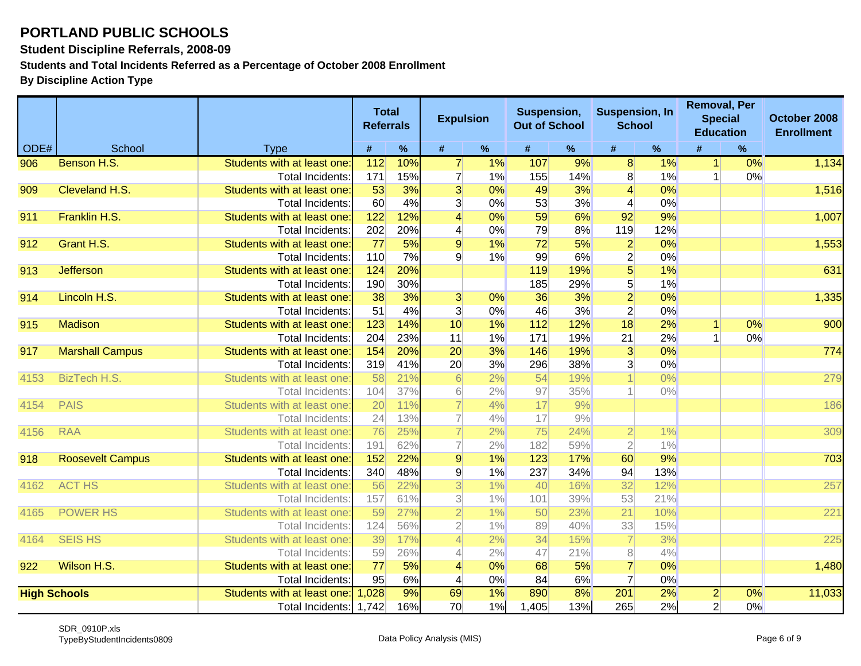#### **Student Discipline Referrals, 2008-09**

**Students and Total Incidents Referred as a Percentage of October 2008 Enrollment**

|      |                         |                                                        | <b>Total</b><br><b>Referrals</b> |            | <b>Expulsion</b>        |          | Suspension,<br><b>Out of School</b> |            | <b>Suspension, In</b><br><b>School</b> |          |                | <b>Removal, Per</b><br><b>Special</b><br><b>Education</b> | October 2008<br><b>Enrollment</b> |
|------|-------------------------|--------------------------------------------------------|----------------------------------|------------|-------------------------|----------|-------------------------------------|------------|----------------------------------------|----------|----------------|-----------------------------------------------------------|-----------------------------------|
| ODE# | School                  | <b>Type</b>                                            | #                                | $\%$       | #                       | $\%$     | #                                   | $\%$       | #                                      | $\%$     |                | $\%$                                                      |                                   |
| 906  | Benson H.S.             | Students with at least one                             | 112                              | 10%        | $\overline{7}$          | 1%       | 107                                 | 9%         | $\bf{8}$                               | 1%       | $\mathbf{1}$   | 0%                                                        | 1,134                             |
|      |                         | Total Incidents:                                       | 171                              | 15%        | $\overline{7}$          | 1%       | 155                                 | 14%        | 8 <sup>1</sup>                         | 1%       |                | 0%                                                        |                                   |
| 909  | Cleveland H.S.          | Students with at least one:                            | 53                               | 3%         | $\overline{3}$          | 0%       | 49                                  | 3%         | 4                                      | 0%       |                |                                                           | 1,516                             |
|      |                         | <b>Total Incidents:</b>                                | 60                               | 4%         | $\overline{3}$          | 0%       | 53                                  | 3%         | 4                                      | 0%       |                |                                                           |                                   |
| 911  | Franklin H.S.           | Students with at least one:                            | 122                              | 12%        | $\overline{4}$          | 0%       | 59                                  | 6%         | 92                                     | 9%       |                |                                                           | 1,007                             |
|      |                         | Total Incidents:                                       | 202                              | 20%        | $\vert 4 \vert$         | 0%       | 79                                  | 8%         | 119                                    | 12%      |                |                                                           |                                   |
| 912  | Grant H.S.              | Students with at least one:                            | 77                               | 5%         | $\overline{9}$          | 1%       | 72                                  | 5%         | $\overline{2}$                         | 0%       |                |                                                           | 1,553                             |
|      |                         | <b>Total Incidents:</b>                                | 110                              | 7%         | $\overline{9}$          | 1%       | 99                                  | 6%         | $\mathbf{2}$                           | 0%       |                |                                                           |                                   |
| 913  | <b>Jefferson</b>        | Students with at least one:                            | 124                              | 20%        |                         |          | 119                                 | 19%        | $5\overline{)}$                        | 1%       |                |                                                           | 631                               |
|      |                         | Total Incidents:                                       | 190                              | 30%        |                         |          | 185                                 | 29%        | 5 <sup>1</sup>                         | 1%       |                |                                                           |                                   |
| 914  | Lincoln H.S.            | Students with at least one:                            | 38                               | 3%         | $\overline{3}$          | 0%       | 36                                  | 3%         | $\overline{2}$                         | 0%       |                |                                                           | 1,335                             |
|      |                         | <b>Total Incidents:</b>                                | 51                               | 4%         | $\overline{3}$          | 0%       | 46                                  | 3%         | $\overline{2}$                         | 0%       |                |                                                           |                                   |
| 915  | <b>Madison</b>          | Students with at least one:                            | 123                              | 14%        | 10                      | 1%       | 112                                 | 12%        | 18                                     | 2%       |                | 0%                                                        | 900                               |
|      |                         | Total Incidents:                                       | 204<br>154                       | 23%<br>20% | 11                      | 1%<br>3% | 171                                 | 19%        | 21                                     | 2%<br>0% |                | 0%                                                        | 774                               |
| 917  | <b>Marshall Campus</b>  | Students with at least one:<br><b>Total Incidents:</b> | 319                              | 41%        | 20<br>20                | 3%       | 146<br>296                          | 19%<br>38% | $\overline{3}$                         | 0%       |                |                                                           |                                   |
| 4153 | <b>BizTech H.S.</b>     | Students with at least one:                            | 58                               | 21%        | 6                       | 2%       | 54                                  | 19%        | 3                                      | $0\%$    |                |                                                           | 279                               |
|      |                         | Total Incidents:                                       | 104                              | 37%        | $6 \mid$                | 2%       | 97                                  | 35%        |                                        | $0\%$    |                |                                                           |                                   |
| 4154 | <b>PAIS</b>             | Students with at least one:                            | 20                               | 11%        | 7                       | 4%       | 17                                  | 9%         |                                        |          |                |                                                           | 186                               |
|      |                         | Total Incidents:                                       | 24                               | 13%        | 7                       | 4%       | 17                                  | 9%         |                                        |          |                |                                                           |                                   |
| 4156 | <b>RAA</b>              | Students with at least one:                            | 76                               | 25%        | 7                       | 2%       | 75                                  | 24%        | $\overline{2}$                         | 1%       |                |                                                           | 309                               |
|      |                         | Total Incidents:                                       | 191                              | 62%        | 7                       | 2%       | 182                                 | 59%        | $\overline{2}$                         | $1\%$    |                |                                                           |                                   |
| 918  | <b>Roosevelt Campus</b> | Students with at least one:                            | 152                              | 22%        | $\overline{9}$          | 1%       | 123                                 | 17%        | 60                                     | 9%       |                |                                                           | 703                               |
|      |                         | <b>Total Incidents:</b>                                | 340                              | 48%        | $\mathsf{g}$            | 1%       | 237                                 | 34%        | 94                                     | 13%      |                |                                                           |                                   |
| 4162 | <b>ACT HS</b>           | Students with at least one                             | 56                               | 22%        | $\overline{\mathbf{3}}$ | $1\%$    | 40                                  | 16%        | 32                                     | 12%      |                |                                                           | 257                               |
|      |                         | Total Incidents:                                       | 157                              | 61%        | $\overline{3}$          | $1\%$    | 101                                 | 39%        | 53                                     | 21%      |                |                                                           |                                   |
| 4165 | <b>POWER HS</b>         | Students with at least one                             | 59                               | 27%        | $\overline{2}$          | 1%       | 50                                  | 23%        | 21                                     | 10%      |                |                                                           | 221                               |
|      |                         | Total Incidents:                                       | 124                              | 56%        | $\overline{2}$          | 1%       | 89                                  | 40%        | 33                                     | 15%      |                |                                                           |                                   |
| 4164 | <b>SEIS HS</b>          | Students with at least one                             | 39                               | 17%        | 4                       | 2%       | 34                                  | 15%        | 7                                      | 3%       |                |                                                           | 225                               |
|      |                         | Total Incidents:                                       | 59                               | 26%        | 4                       | 2%       | 47                                  | 21%        | 8                                      | 4%       |                |                                                           |                                   |
| 922  | Wilson H.S.             | Students with at least one:                            | 77                               | 5%         | $\vert 4 \vert$         | 0%       | 68                                  | 5%         | $\overline{7}$                         | 0%       |                |                                                           | 1,480                             |
|      |                         | <b>Total Incidents:</b>                                | 95                               | 6%         | $\vert 4 \vert$         | 0%       | 84                                  | 6%         | $\overline{7}$                         | 0%       |                |                                                           |                                   |
|      | <b>High Schools</b>     | Students with at least one:                            | 1,028                            | 9%         | 69                      | $1\%$    | 890                                 | 8%         | 201                                    | 2%       | $\overline{2}$ | $\overline{0\%}$                                          | 11,033                            |
|      |                         | Total Incidents: 1,742                                 |                                  | 16%        | 70                      | 1%       | 1,405                               | 13%        | 265                                    | 2%       | $\overline{2}$ | 0%                                                        |                                   |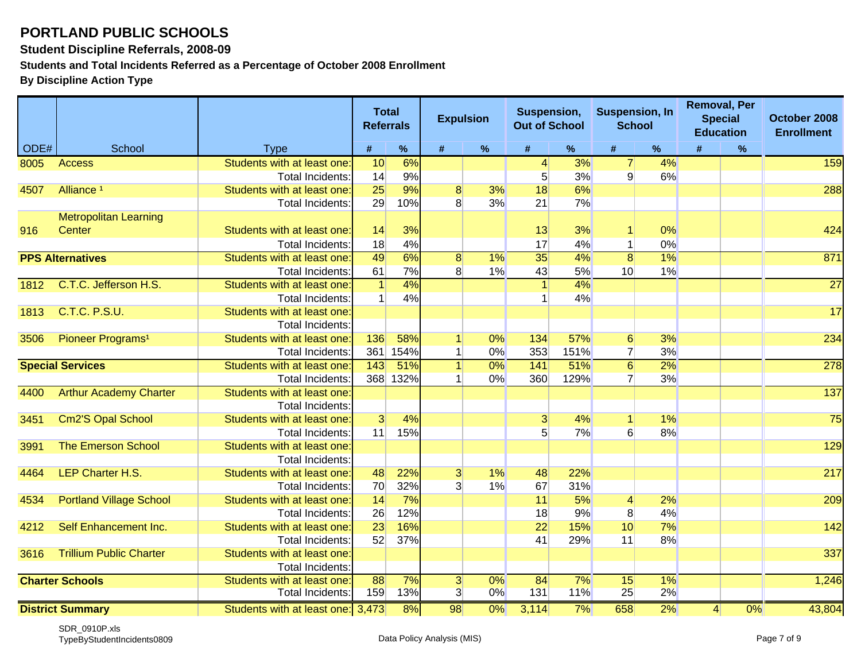#### **Student Discipline Referrals, 2008-09**

**Students and Total Incidents Referred as a Percentage of October 2008 Enrollment**

|      |                                |                                   | <b>Total</b><br><b>Referrals</b> |      | <b>Expulsion</b> |       | Suspension,<br><b>Out of School</b> |                  | <b>Suspension, In</b><br><b>School</b> |       |                 | <b>Removal, Per</b><br><b>Special</b><br><b>Education</b> | October 2008<br><b>Enrollment</b> |
|------|--------------------------------|-----------------------------------|----------------------------------|------|------------------|-------|-------------------------------------|------------------|----------------------------------------|-------|-----------------|-----------------------------------------------------------|-----------------------------------|
| ODE# | School                         | <b>Type</b>                       | #                                | $\%$ | #                | $\%$  | #                                   | %                | #                                      | $\%$  | #               | $\%$                                                      |                                   |
| 8005 | <b>Access</b>                  | Students with at least one        | 10                               | 6%   |                  |       | 4                                   | 3%               | $\overline{7}$                         | 4%    |                 |                                                           | 159                               |
|      |                                | Total Incidents:                  | 14                               | 9%   |                  |       | 5 <sup>1</sup>                      | 3%               | $\mathbf{Q}$                           | 6%    |                 |                                                           |                                   |
| 4507 | Alliance <sup>1</sup>          | Students with at least one        | 25                               | 9%   | 8                | 3%    | 18                                  | 6%               |                                        |       |                 |                                                           | 288                               |
|      |                                | Total Incidents:                  | 29                               | 10%  | 8                | 3%    | 21                                  | 7%               |                                        |       |                 |                                                           |                                   |
|      | <b>Metropolitan Learning</b>   |                                   |                                  |      |                  |       |                                     |                  |                                        |       |                 |                                                           |                                   |
| 916  | Center                         | Students with at least one        | 14                               | 3%   |                  |       | 13                                  | 3%               |                                        | 0%    |                 |                                                           | 424                               |
|      |                                | <b>Total Incidents:</b>           | 18                               | 4%   |                  |       | 17                                  | 4%               | 1                                      | 0%    |                 |                                                           |                                   |
|      | <b>PPS Alternatives</b>        | Students with at least one        | 49                               | 6%   | 8 <sup>1</sup>   | $1\%$ | 35                                  | $\overline{4\%}$ | 8                                      | $1\%$ |                 |                                                           | 871                               |
|      |                                | Total Incidents:                  | 61                               | 7%   | 8                | 1%    | 43                                  | 5%               | 10 <sup>1</sup>                        | 1%    |                 |                                                           |                                   |
| 1812 | C.T.C. Jefferson H.S.          | Students with at least one        | $\overline{1}$                   | 4%   |                  |       |                                     | $4\%$            |                                        |       |                 |                                                           | $\overline{27}$                   |
|      |                                | Total Incidents:                  | 1                                | 4%   |                  |       |                                     | 4%               |                                        |       |                 |                                                           |                                   |
| 1813 | <b>C.T.C. P.S.U.</b>           | Students with at least one        |                                  |      |                  |       |                                     |                  |                                        |       |                 |                                                           | 17                                |
|      |                                | Total Incidents:                  |                                  |      |                  |       |                                     |                  |                                        |       |                 |                                                           |                                   |
| 3506 | Pioneer Programs <sup>1</sup>  | Students with at least one        | 136                              | 58%  |                  | 0%    | 134                                 | 57%              | 6                                      | 3%    |                 |                                                           | 234                               |
|      |                                | <b>Total Incidents</b>            | 361                              | 154% |                  | 0%    | 353                                 | <b>151%</b>      | $\overline{7}$                         | 3%    |                 |                                                           |                                   |
|      | <b>Special Services</b>        | Students with at least one        | 143                              | 51%  | 1 <sup>1</sup>   | 0%    | 141                                 | 51%              | 6                                      | 2%    |                 |                                                           | 278                               |
|      |                                | Total Incidents:                  | 368                              | 132% |                  | 0%    | 360                                 | 129%             | $\overline{7}$                         | 3%    |                 |                                                           |                                   |
| 4400 | <b>Arthur Academy Charter</b>  | Students with at least one        |                                  |      |                  |       |                                     |                  |                                        |       |                 |                                                           | 137                               |
|      |                                | <b>Total Incidents:</b>           |                                  |      |                  |       |                                     |                  |                                        |       |                 |                                                           |                                   |
| 3451 | Cm2'S Opal School              | Students with at least one        | $\overline{3}$                   | 4%   |                  |       | $\mathbf{3}$                        | 4%               | 1                                      | $1\%$ |                 |                                                           | 75                                |
|      |                                | Total Incidents:                  | 11                               | 15%  |                  |       | 5                                   | 7%               | $6 \overline{6}$                       | 8%    |                 |                                                           |                                   |
| 3991 | <b>The Emerson School</b>      | Students with at least one        |                                  |      |                  |       |                                     |                  |                                        |       |                 |                                                           | 129                               |
|      |                                | Total Incidents:                  |                                  |      |                  |       |                                     |                  |                                        |       |                 |                                                           |                                   |
| 4464 | LEP Charter H.S.               | Students with at least one        | 48                               | 22%  | 3 <sup>1</sup>   | 1%    | 48                                  | 22%              |                                        |       |                 |                                                           | 217                               |
|      |                                | <b>Total Incidents:</b>           | 70                               | 32%  | 3                | 1%    | 67                                  | 31%              |                                        |       |                 |                                                           |                                   |
| 4534 | <b>Portland Village School</b> | Students with at least one        | 14                               | 7%   |                  |       | 11                                  | 5%               | $\vert$                                | 2%    |                 |                                                           | 209                               |
|      |                                | Total Incidents:                  | 26                               | 12%  |                  |       | 18                                  | 9%               | 8                                      | 4%    |                 |                                                           |                                   |
| 4212 | Self Enhancement Inc.          | Students with at least one        | 23                               | 16%  |                  |       | 22                                  | 15%              | 10                                     | 7%    |                 |                                                           | 142                               |
|      |                                | <b>Total Incidents:</b>           | 52                               | 37%  |                  |       | 41                                  | 29%              | 11                                     | 8%    |                 |                                                           |                                   |
| 3616 | <b>Trillium Public Charter</b> | Students with at least one        |                                  |      |                  |       |                                     |                  |                                        |       |                 |                                                           | 337                               |
|      |                                | Total Incidents:                  |                                  |      |                  |       |                                     |                  |                                        |       |                 |                                                           |                                   |
|      | <b>Charter Schools</b>         | Students with at least one        | 88                               | 7%   | 3 <sup>1</sup>   | $0\%$ | $\overline{84}$                     | 7%               | 15                                     | $1\%$ |                 |                                                           | 1,246                             |
|      |                                | <b>Total Incidents:</b>           | 159                              | 13%  | 3                | 0%    | 131                                 | 11%              | 25                                     | 2%    |                 |                                                           |                                   |
|      | <b>District Summary</b>        | Students with at least one: 3,473 |                                  | 8%   | 98               | $0\%$ | 3,114                               | 7%               | 658                                    | 2%    | $\vert 4 \vert$ | 0%                                                        | 43,804                            |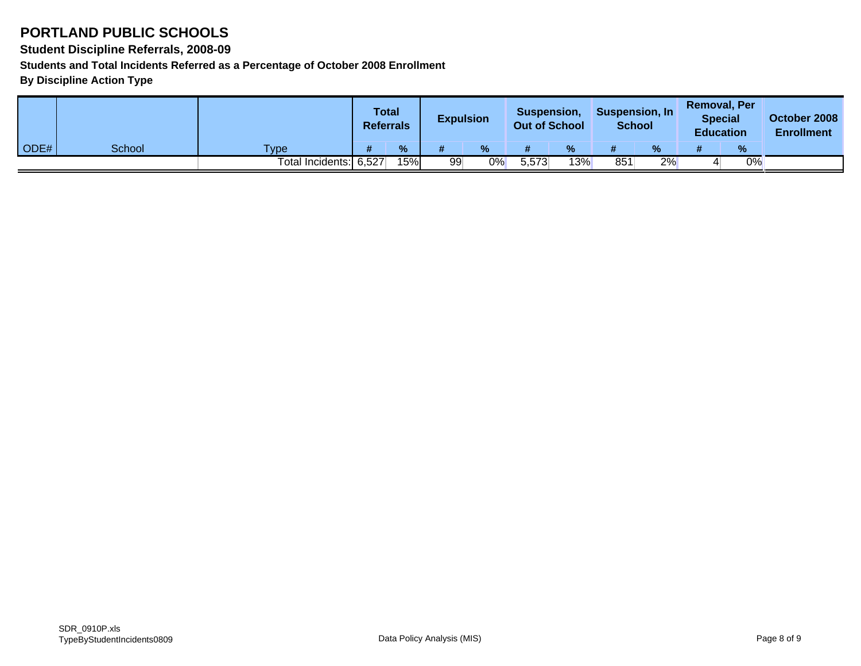**Student Discipline Referrals, 2008-09**

**Students and Total Incidents Referred as a Percentage of October 2008 Enrollment**

|      |        |                        | <b>Total</b><br><b>Referrals</b> |     | <b>Expulsion</b> |      | Suspension,<br><b>Out of School</b> |      | Suspension, In<br><b>School</b> |      | <b>Removal, Per</b><br><b>Special</b><br><b>Education</b> |    | October 2008<br><b>Enrollment</b> |
|------|--------|------------------------|----------------------------------|-----|------------------|------|-------------------------------------|------|---------------------------------|------|-----------------------------------------------------------|----|-----------------------------------|
| ODE# | School | <b>Type</b>            |                                  | %   |                  | $\%$ |                                     | $\%$ |                                 | $\%$ |                                                           | %  |                                   |
|      |        | Total Incidents: 6,527 |                                  | 15% | 99               | 0%   | 5,573                               | 13%  | 851                             | 2%   |                                                           | 0% |                                   |